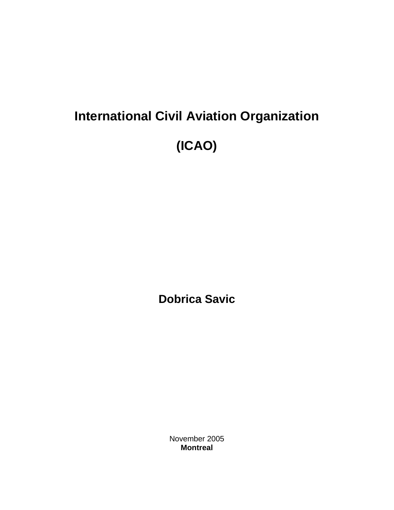# **International Civil Aviation Organization (ICAO)**

**Dobrica Savic** 

November 2005 **Montreal**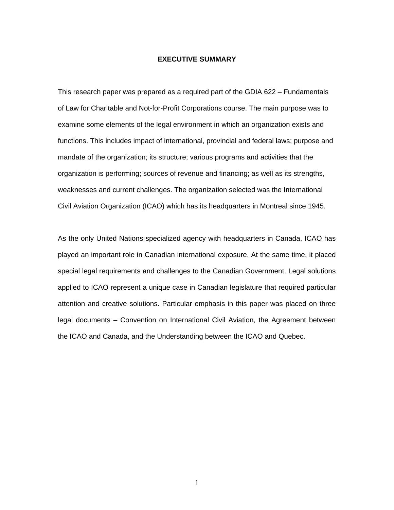#### **EXECUTIVE SUMMARY**

This research paper was prepared as a required part of the GDIA 622 – Fundamentals of Law for Charitable and Not-for-Profit Corporations course. The main purpose was to examine some elements of the legal environment in which an organization exists and functions. This includes impact of international, provincial and federal laws; purpose and mandate of the organization; its structure; various programs and activities that the organization is performing; sources of revenue and financing; as well as its strengths, weaknesses and current challenges. The organization selected was the International Civil Aviation Organization (ICAO) which has its headquarters in Montreal since 1945.

As the only United Nations specialized agency with headquarters in Canada, ICAO has played an important role in Canadian international exposure. At the same time, it placed special legal requirements and challenges to the Canadian Government. Legal solutions applied to ICAO represent a unique case in Canadian legislature that required particular attention and creative solutions. Particular emphasis in this paper was placed on three legal documents – Convention on International Civil Aviation, the Agreement between the ICAO and Canada, and the Understanding between the ICAO and Quebec.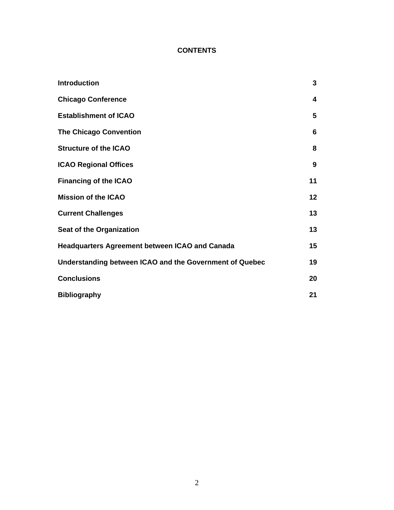## **CONTENTS**

| <b>Introduction</b>                                     | 3  |
|---------------------------------------------------------|----|
| <b>Chicago Conference</b>                               | 4  |
| <b>Establishment of ICAO</b>                            | 5  |
| <b>The Chicago Convention</b>                           | 6  |
| <b>Structure of the ICAO</b>                            | 8  |
| <b>ICAO Regional Offices</b>                            | 9  |
| <b>Financing of the ICAO</b>                            | 11 |
| <b>Mission of the ICAO</b>                              | 12 |
| <b>Current Challenges</b>                               | 13 |
| Seat of the Organization                                | 13 |
| <b>Headquarters Agreement between ICAO and Canada</b>   | 15 |
| Understanding between ICAO and the Government of Quebec | 19 |
| <b>Conclusions</b>                                      | 20 |
| <b>Bibliography</b>                                     | 21 |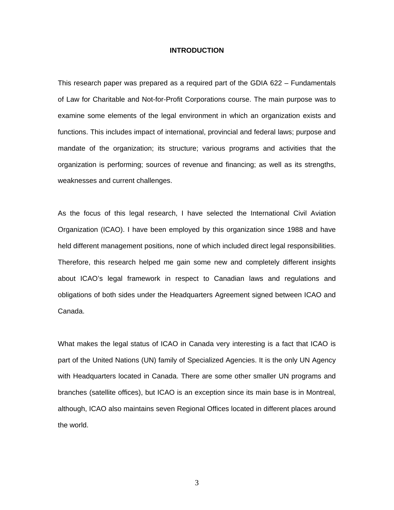#### **INTRODUCTION**

This research paper was prepared as a required part of the GDIA 622 – Fundamentals of Law for Charitable and Not-for-Profit Corporations course. The main purpose was to examine some elements of the legal environment in which an organization exists and functions. This includes impact of international, provincial and federal laws; purpose and mandate of the organization; its structure; various programs and activities that the organization is performing; sources of revenue and financing; as well as its strengths, weaknesses and current challenges.

As the focus of this legal research, I have selected the International Civil Aviation Organization (ICAO). I have been employed by this organization since 1988 and have held different management positions, none of which included direct legal responsibilities. Therefore, this research helped me gain some new and completely different insights about ICAO's legal framework in respect to Canadian laws and regulations and obligations of both sides under the Headquarters Agreement signed between ICAO and Canada.

What makes the legal status of ICAO in Canada very interesting is a fact that ICAO is part of the United Nations (UN) family of Specialized Agencies. It is the only UN Agency with Headquarters located in Canada. There are some other smaller UN programs and branches (satellite offices), but ICAO is an exception since its main base is in Montreal, although, ICAO also maintains seven Regional Offices located in different places around the world.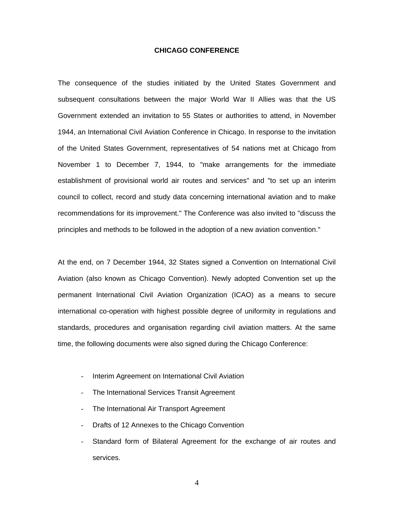#### **CHICAGO CONFERENCE**

The consequence of the studies initiated by the United States Government and subsequent consultations between the major World War II Allies was that the US Government extended an invitation to 55 States or authorities to attend, in November 1944, an International Civil Aviation Conference in Chicago. In response to the invitation of the United States Government, representatives of 54 nations met at Chicago from November 1 to December 7, 1944, to "make arrangements for the immediate establishment of provisional world air routes and services" and "to set up an interim council to collect, record and study data concerning international aviation and to make recommendations for its improvement." The Conference was also invited to "discuss the principles and methods to be followed in the adoption of a new aviation convention."

At the end, on 7 December 1944, 32 States signed a Convention on International Civil Aviation (also known as Chicago Convention). Newly adopted Convention set up the permanent International Civil Aviation Organization (ICAO) as a means to secure international co-operation with highest possible degree of uniformity in regulations and standards, procedures and organisation regarding civil aviation matters. At the same time, the following documents were also signed during the Chicago Conference:

- Interim Agreement on International Civil Aviation
- The International Services Transit Agreement
- The International Air Transport Agreement
- Drafts of 12 Annexes to the Chicago Convention
- Standard form of Bilateral Agreement for the exchange of air routes and services.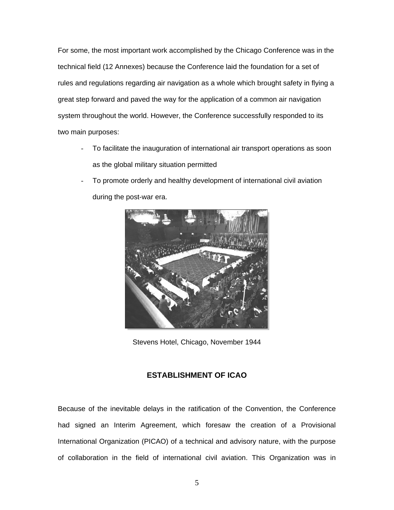For some, the most important work accomplished by the Chicago Conference was in the technical field (12 Annexes) because the Conference laid the foundation for a set of rules and regulations regarding air navigation as a whole which brought safety in flying a great step forward and paved the way for the application of a common air navigation system throughout the world. However, the Conference successfully responded to its two main purposes:

- To facilitate the inauguration of international air transport operations as soon as the global military situation permitted
- To promote orderly and healthy development of international civil aviation during the post-war era.



Stevens Hotel, Chicago, November 1944

## **ESTABLISHMENT OF ICAO**

Because of the inevitable delays in the ratification of the Convention, the Conference had signed an Interim Agreement, which foresaw the creation of a Provisional International Organization (PICAO) of a technical and advisory nature, with the purpose of collaboration in the field of international civil aviation. This Organization was in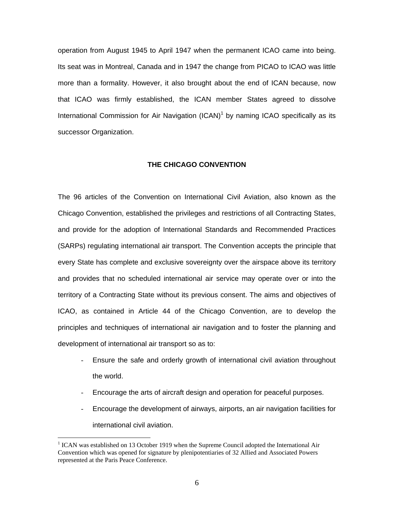operation from August 1945 to April 1947 when the permanent ICAO came into being. Its seat was in Montreal, Canada and in 1947 the change from PICAO to ICAO was little more than a formality. However, it also brought about the end of ICAN because, now that ICAO was firmly established, the ICAN member States agreed to dissolve International Commission for Air Navigation  $(ICAN)^1$  by naming ICAO specifically as its successor Organization.

## **THE CHICAGO CONVENTION**

The 96 articles of the Convention on International Civil Aviation, also known as the Chicago Convention, established the privileges and restrictions of all Contracting States, and provide for the adoption of International Standards and Recommended Practices (SARPs) regulating international air transport. The Convention accepts the principle that every State has complete and exclusive sovereignty over the airspace above its territory and provides that no scheduled international air service may operate over or into the territory of a Contracting State without its previous consent. The aims and objectives of ICAO, as contained in Article 44 of the Chicago Convention, are to develop the principles and techniques of international air navigation and to foster the planning and development of international air transport so as to:

- Ensure the safe and orderly growth of international civil aviation throughout the world.
- Encourage the arts of aircraft design and operation for peaceful purposes.
- Encourage the development of airways, airports, an air navigation facilities for international civil aviation.

 $\overline{a}$ 

<sup>&</sup>lt;sup>1</sup> ICAN was established on 13 October 1919 when the Supreme Council adopted the International Air Convention which was opened for signature by plenipotentiaries of 32 Allied and Associated Powers represented at the Paris Peace Conference.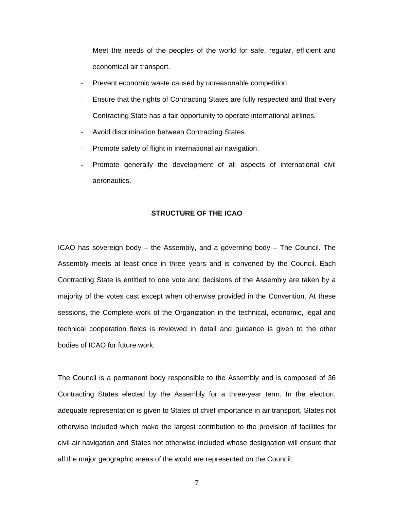- Meet the needs of the peoples of the world for safe, regular, efficient and economical air transport.
- Prevent economic waste caused by unreasonable competition.
- Ensure that the rights of Contracting States are fully respected and that every Contracting State has a fair opportunity to operate international airlines.
- Avoid discrimination between Contracting States.
- Promote safety of flight in international air navigation.
- Promote generally the development of all aspects of international civil aeronautics.

## **STRUCTURE OF THE ICAO**

ICAO has sovereign body – the Assembly, and a governing body – The Council. The Assembly meets at least once in three years and is convened by the Council. Each Contracting State is entitled to one vote and decisions of the Assembly are taken by a majority of the votes cast except when otherwise provided in the Convention. At these sessions, the Complete work of the Organization in the technical, economic, legal and technical cooperation fields is reviewed in detail and guidance is given to the other bodies of ICAO for future work.

The Council is a permanent body responsible to the Assembly and is composed of 36 Contracting States elected by the Assembly for a three-year term. In the election, adequate representation is given to States of chief importance in air transport, States not otherwise included which make the largest contribution to the provision of facilities for civil air navigation and States not otherwise included whose designation will ensure that all the major geographic areas of the world are represented on the Council.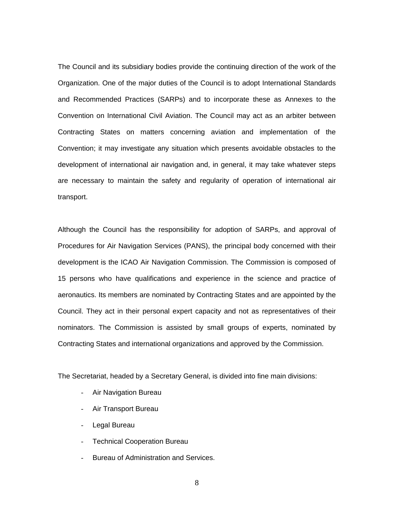The Council and its subsidiary bodies provide the continuing direction of the work of the Organization. One of the major duties of the Council is to adopt International Standards and Recommended Practices (SARPs) and to incorporate these as Annexes to the Convention on International Civil Aviation. The Council may act as an arbiter between Contracting States on matters concerning aviation and implementation of the Convention; it may investigate any situation which presents avoidable obstacles to the development of international air navigation and, in general, it may take whatever steps are necessary to maintain the safety and regularity of operation of international air transport.

Although the Council has the responsibility for adoption of SARPs, and approval of Procedures for Air Navigation Services (PANS), the principal body concerned with their development is the ICAO Air Navigation Commission. The Commission is composed of 15 persons who have qualifications and experience in the science and practice of aeronautics. Its members are nominated by Contracting States and are appointed by the Council. They act in their personal expert capacity and not as representatives of their nominators. The Commission is assisted by small groups of experts, nominated by Contracting States and international organizations and approved by the Commission.

The Secretariat, headed by a Secretary General, is divided into fine main divisions:

- Air Navigation Bureau
- Air Transport Bureau
- Legal Bureau
- Technical Cooperation Bureau
- Bureau of Administration and Services.
	- 8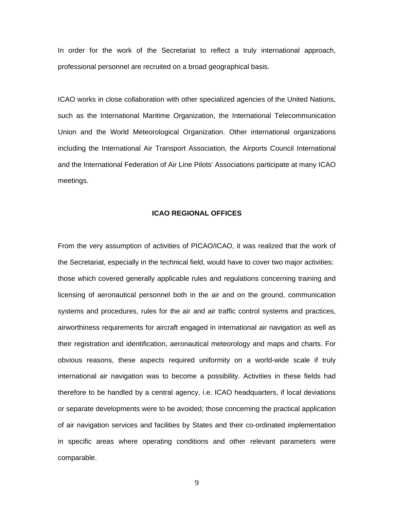In order for the work of the Secretariat to reflect a truly international approach, professional personnel are recruited on a broad geographical basis.

ICAO works in close collaboration with other specialized agencies of the United Nations, such as the International Maritime Organization, the International Telecommunication Union and the World Meteorological Organization. Other international organizations including the International Air Transport Association, the Airports Council International and the International Federation of Air Line Pilots' Associations participate at many ICAO meetings.

#### **ICAO REGIONAL OFFICES**

From the very assumption of activities of PICAO/ICAO, it was realized that the work of the Secretariat, especially in the technical field, would have to cover two major activities: those which covered generally applicable rules and regulations concerning training and licensing of aeronautical personnel both in the air and on the ground, communication systems and procedures, rules for the air and air traffic control systems and practices, airworthiness requirements for aircraft engaged in international air navigation as well as their registration and identification, aeronautical meteorology and maps and charts. For obvious reasons, these aspects required uniformity on a world-wide scale if truly international air navigation was to become a possibility. Activities in these fields had therefore to be handled by a central agency, i.e. ICAO headquarters, if local deviations or separate developments were to be avoided; those concerning the practical application of air navigation services and facilities by States and their co-ordinated implementation in specific areas where operating conditions and other relevant parameters were comparable.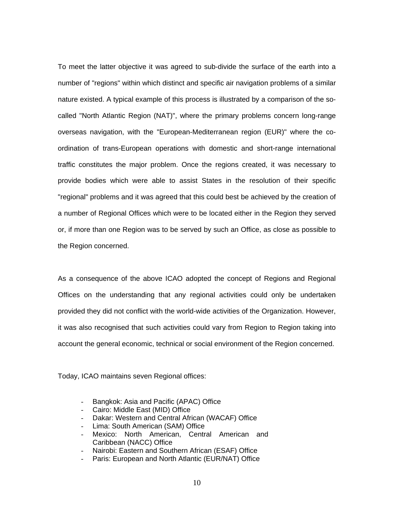To meet the latter objective it was agreed to sub-divide the surface of the earth into a number of "regions" within which distinct and specific air navigation problems of a similar nature existed. A typical example of this process is illustrated by a comparison of the socalled "North Atlantic Region (NAT)", where the primary problems concern long-range overseas navigation, with the "European-Mediterranean region (EUR)" where the coordination of trans-European operations with domestic and short-range international traffic constitutes the major problem. Once the regions created, it was necessary to provide bodies which were able to assist States in the resolution of their specific "regional" problems and it was agreed that this could best be achieved by the creation of a number of Regional Offices which were to be located either in the Region they served or, if more than one Region was to be served by such an Office, as close as possible to the Region concerned.

As a consequence of the above ICAO adopted the concept of Regions and Regional Offices on the understanding that any regional activities could only be undertaken provided they did not conflict with the world-wide activities of the Organization. However, it was also recognised that such activities could vary from Region to Region taking into account the general economic, technical or social environment of the Region concerned.

Today, ICAO maintains seven Regional offices:

- Bangkok: Asia and Pacific (APAC) Office
- Cairo: Middle East (MID) Office
- Dakar: Western and Central African (WACAF) Office
- Lima: South American (SAM) Office
- Mexico: North American, Central American and Caribbean (NACC) Office
- Nairobi: Eastern and Southern African (ESAF) Office
- Paris: European and North Atlantic (EUR/NAT) Office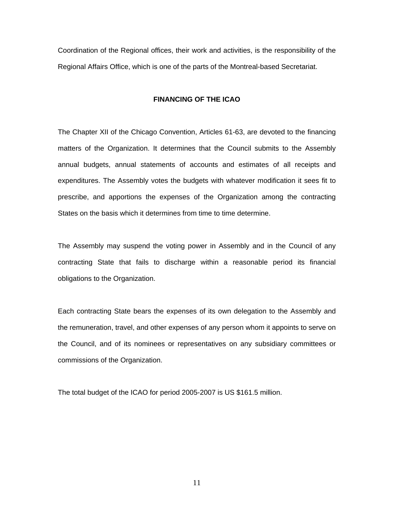Coordination of the Regional offices, their work and activities, is the responsibility of the Regional Affairs Office, which is one of the parts of the Montreal-based Secretariat.

## **FINANCING OF THE ICAO**

The Chapter XII of the Chicago Convention, Articles 61-63, are devoted to the financing matters of the Organization. It determines that the Council submits to the Assembly annual budgets, annual statements of accounts and estimates of all receipts and expenditures. The Assembly votes the budgets with whatever modification it sees fit to prescribe, and apportions the expenses of the Organization among the contracting States on the basis which it determines from time to time determine.

The Assembly may suspend the voting power in Assembly and in the Council of any contracting State that fails to discharge within a reasonable period its financial obligations to the Organization.

Each contracting State bears the expenses of its own delegation to the Assembly and the remuneration, travel, and other expenses of any person whom it appoints to serve on the Council, and of its nominees or representatives on any subsidiary committees or commissions of the Organization.

The total budget of the ICAO for period 2005-2007 is US \$161.5 million.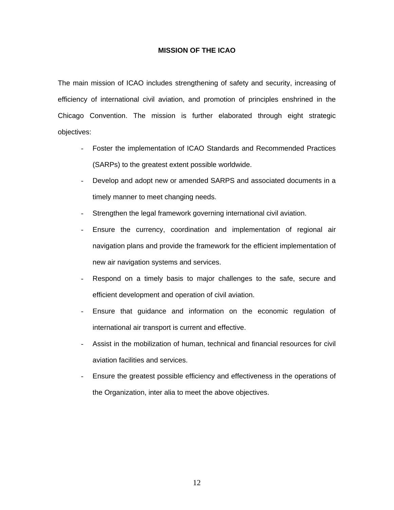## **MISSION OF THE ICAO**

The main mission of ICAO includes strengthening of safety and security, increasing of efficiency of international civil aviation, and promotion of principles enshrined in the Chicago Convention. The mission is further elaborated through eight strategic objectives:

- Foster the implementation of ICAO Standards and Recommended Practices (SARPs) to the greatest extent possible worldwide.
- Develop and adopt new or amended SARPS and associated documents in a timely manner to meet changing needs.
- Strengthen the legal framework governing international civil aviation.
- Ensure the currency, coordination and implementation of regional air navigation plans and provide the framework for the efficient implementation of new air navigation systems and services.
- Respond on a timely basis to major challenges to the safe, secure and efficient development and operation of civil aviation.
- Ensure that guidance and information on the economic regulation of international air transport is current and effective.
- Assist in the mobilization of human, technical and financial resources for civil aviation facilities and services.
- Ensure the greatest possible efficiency and effectiveness in the operations of the Organization, inter alia to meet the above objectives.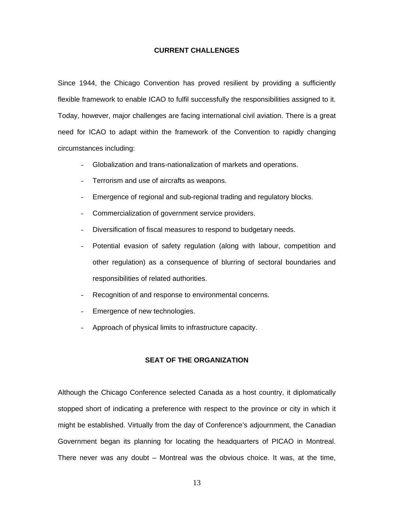## **CURRENT CHALLENGES**

Since 1944, the Chicago Convention has proved resilient by providing a sufficiently flexible framework to enable ICAO to fulfil successfully the responsibilities assigned to it. Today, however, major challenges are facing international civil aviation. There is a great need for ICAO to adapt within the framework of the Convention to rapidly changing circumstances including:

- Globalization and trans-nationalization of markets and operations.
- Terrorism and use of aircrafts as weapons.
- Emergence of regional and sub-regional trading and regulatory blocks.
- Commercialization of government service providers.
- Diversification of fiscal measures to respond to budgetary needs.
- Potential evasion of safety regulation (along with labour, competition and other regulation) as a consequence of blurring of sectoral boundaries and responsibilities of related authorities.
- Recognition of and response to environmental concerns.
- Emergence of new technologies.
- Approach of physical limits to infrastructure capacity.

## **SEAT OF THE ORGANIZATION**

Although the Chicago Conference selected Canada as a host country, it diplomatically stopped short of indicating a preference with respect to the province or city in which it might be established. Virtually from the day of Conference's adjournment, the Canadian Government began its planning for locating the headquarters of PICAO in Montreal. There never was any doubt – Montreal was the obvious choice. It was, at the time,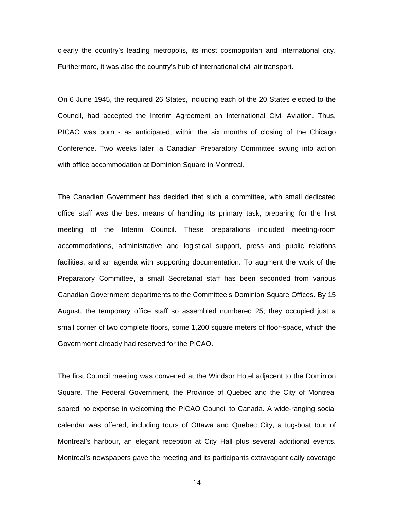clearly the country's leading metropolis, its most cosmopolitan and international city. Furthermore, it was also the country's hub of international civil air transport.

On 6 June 1945, the required 26 States, including each of the 20 States elected to the Council, had accepted the Interim Agreement on International Civil Aviation. Thus, PICAO was born - as anticipated, within the six months of closing of the Chicago Conference. Two weeks later, a Canadian Preparatory Committee swung into action with office accommodation at Dominion Square in Montreal.

The Canadian Government has decided that such a committee, with small dedicated office staff was the best means of handling its primary task, preparing for the first meeting of the Interim Council. These preparations included meeting-room accommodations, administrative and logistical support, press and public relations facilities, and an agenda with supporting documentation. To augment the work of the Preparatory Committee, a small Secretariat staff has been seconded from various Canadian Government departments to the Committee's Dominion Square Offices. By 15 August, the temporary office staff so assembled numbered 25; they occupied just a small corner of two complete floors, some 1,200 square meters of floor-space, which the Government already had reserved for the PICAO.

The first Council meeting was convened at the Windsor Hotel adjacent to the Dominion Square. The Federal Government, the Province of Quebec and the City of Montreal spared no expense in welcoming the PICAO Council to Canada. A wide-ranging social calendar was offered, including tours of Ottawa and Quebec City, a tug-boat tour of Montreal's harbour, an elegant reception at City Hall plus several additional events. Montreal's newspapers gave the meeting and its participants extravagant daily coverage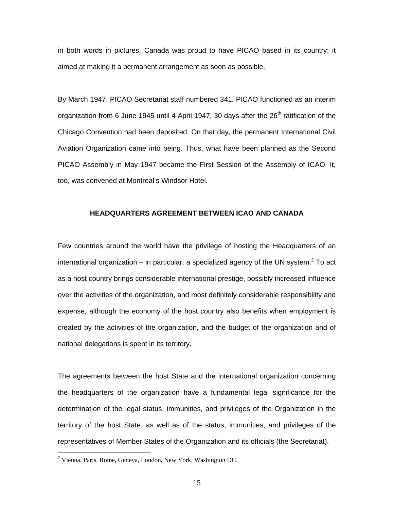in both words in pictures. Canada was proud to have PICAO based in its country; it aimed at making it a permanent arrangement as soon as possible.

By March 1947, PICAO Secretariat staff numbered 341. PICAO functioned as an interim organization from 6 June 1945 until 4 April 1947, 30 days after the 26<sup>th</sup> ratification of the Chicago Convention had been deposited. On that day, the permanent International Civil Aviation Organization came into being. Thus, what have been planned as the Second PICAO Assembly in May 1947 became the First Session of the Assembly of ICAO. It, too, was convened at Montreal's Windsor Hotel.

#### **HEADQUARTERS AGREEMENT BETWEEN ICAO AND CANADA**

Few countries around the world have the privilege of hosting the Headquarters of an international organization  $-$  in particular, a specialized agency of the UN system.<sup>2</sup> To act as a host country brings considerable international prestige, possibly increased influence over the activities of the organization, and most definitely considerable responsibility and expense, although the economy of the host country also benefits when employment is created by the activities of the organization, and the budget of the organization and of national delegations is spent in its territory.

The agreements between the host State and the international organization concerning the headquarters of the organization have a fundamental legal significance for the determination of the legal status, immunities, and privileges of the Organization in the territory of the host State, as well as of the status, immunities, and privileges of the representatives of Member States of the Organization and its officials (the Secretariat).

 $\overline{a}$ 

<sup>&</sup>lt;sup>2</sup> Vienna, Paris, Rome, Geneva, London, New York, Washington DC.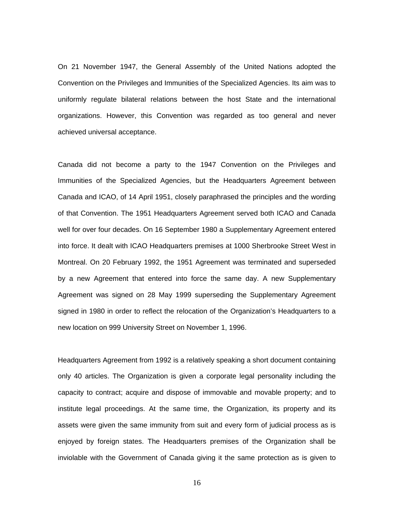On 21 November 1947, the General Assembly of the United Nations adopted the Convention on the Privileges and Immunities of the Specialized Agencies. Its aim was to uniformly regulate bilateral relations between the host State and the international organizations. However, this Convention was regarded as too general and never achieved universal acceptance.

Canada did not become a party to the 1947 Convention on the Privileges and Immunities of the Specialized Agencies, but the Headquarters Agreement between Canada and ICAO, of 14 April 1951, closely paraphrased the principles and the wording of that Convention. The 1951 Headquarters Agreement served both ICAO and Canada well for over four decades. On 16 September 1980 a Supplementary Agreement entered into force. It dealt with ICAO Headquarters premises at 1000 Sherbrooke Street West in Montreal. On 20 February 1992, the 1951 Agreement was terminated and superseded by a new Agreement that entered into force the same day. A new Supplementary Agreement was signed on 28 May 1999 superseding the Supplementary Agreement signed in 1980 in order to reflect the relocation of the Organization's Headquarters to a new location on 999 University Street on November 1, 1996.

Headquarters Agreement from 1992 is a relatively speaking a short document containing only 40 articles. The Organization is given a corporate legal personality including the capacity to contract; acquire and dispose of immovable and movable property; and to institute legal proceedings. At the same time, the Organization, its property and its assets were given the same immunity from suit and every form of judicial process as is enjoyed by foreign states. The Headquarters premises of the Organization shall be inviolable with the Government of Canada giving it the same protection as is given to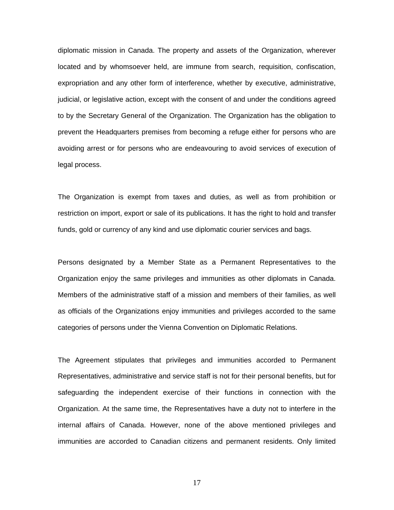diplomatic mission in Canada. The property and assets of the Organization, wherever located and by whomsoever held, are immune from search, requisition, confiscation, expropriation and any other form of interference, whether by executive, administrative, judicial, or legislative action, except with the consent of and under the conditions agreed to by the Secretary General of the Organization. The Organization has the obligation to prevent the Headquarters premises from becoming a refuge either for persons who are avoiding arrest or for persons who are endeavouring to avoid services of execution of legal process.

The Organization is exempt from taxes and duties, as well as from prohibition or restriction on import, export or sale of its publications. It has the right to hold and transfer funds, gold or currency of any kind and use diplomatic courier services and bags.

Persons designated by a Member State as a Permanent Representatives to the Organization enjoy the same privileges and immunities as other diplomats in Canada. Members of the administrative staff of a mission and members of their families, as well as officials of the Organizations enjoy immunities and privileges accorded to the same categories of persons under the Vienna Convention on Diplomatic Relations.

The Agreement stipulates that privileges and immunities accorded to Permanent Representatives, administrative and service staff is not for their personal benefits, but for safeguarding the independent exercise of their functions in connection with the Organization. At the same time, the Representatives have a duty not to interfere in the internal affairs of Canada. However, none of the above mentioned privileges and immunities are accorded to Canadian citizens and permanent residents. Only limited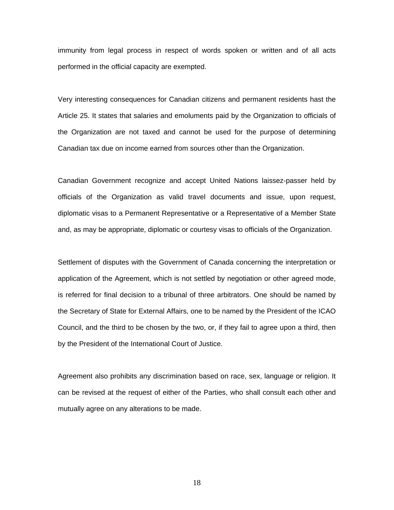immunity from legal process in respect of words spoken or written and of all acts performed in the official capacity are exempted.

Very interesting consequences for Canadian citizens and permanent residents hast the Article 25. It states that salaries and emoluments paid by the Organization to officials of the Organization are not taxed and cannot be used for the purpose of determining Canadian tax due on income earned from sources other than the Organization.

Canadian Government recognize and accept United Nations laissez-passer held by officials of the Organization as valid travel documents and issue, upon request, diplomatic visas to a Permanent Representative or a Representative of a Member State and, as may be appropriate, diplomatic or courtesy visas to officials of the Organization.

Settlement of disputes with the Government of Canada concerning the interpretation or application of the Agreement, which is not settled by negotiation or other agreed mode, is referred for final decision to a tribunal of three arbitrators. One should be named by the Secretary of State for External Affairs, one to be named by the President of the ICAO Council, and the third to be chosen by the two, or, if they fail to agree upon a third, then by the President of the International Court of Justice.

Agreement also prohibits any discrimination based on race, sex, language or religion. It can be revised at the request of either of the Parties, who shall consult each other and mutually agree on any alterations to be made.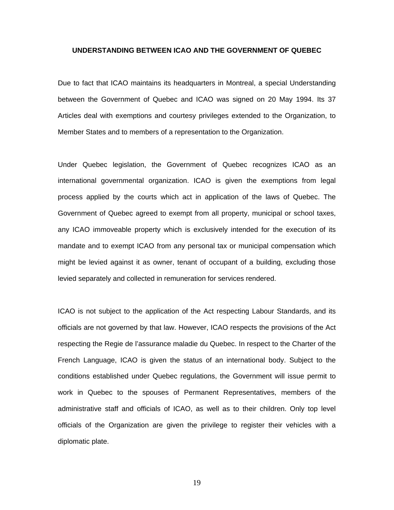#### **UNDERSTANDING BETWEEN ICAO AND THE GOVERNMENT OF QUEBEC**

Due to fact that ICAO maintains its headquarters in Montreal, a special Understanding between the Government of Quebec and ICAO was signed on 20 May 1994. Its 37 Articles deal with exemptions and courtesy privileges extended to the Organization, to Member States and to members of a representation to the Organization.

Under Quebec legislation, the Government of Quebec recognizes ICAO as an international governmental organization. ICAO is given the exemptions from legal process applied by the courts which act in application of the laws of Quebec. The Government of Quebec agreed to exempt from all property, municipal or school taxes, any ICAO immoveable property which is exclusively intended for the execution of its mandate and to exempt ICAO from any personal tax or municipal compensation which might be levied against it as owner, tenant of occupant of a building, excluding those levied separately and collected in remuneration for services rendered.

ICAO is not subject to the application of the Act respecting Labour Standards, and its officials are not governed by that law. However, ICAO respects the provisions of the Act respecting the Regie de l'assurance maladie du Quebec. In respect to the Charter of the French Language, ICAO is given the status of an international body. Subject to the conditions established under Quebec regulations, the Government will issue permit to work in Quebec to the spouses of Permanent Representatives, members of the administrative staff and officials of ICAO, as well as to their children. Only top level officials of the Organization are given the privilege to register their vehicles with a diplomatic plate.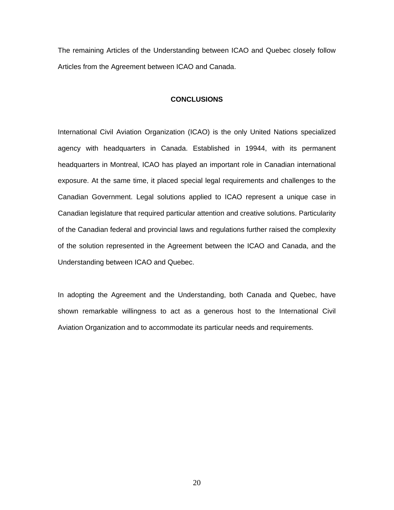The remaining Articles of the Understanding between ICAO and Quebec closely follow Articles from the Agreement between ICAO and Canada.

## **CONCLUSIONS**

International Civil Aviation Organization (ICAO) is the only United Nations specialized agency with headquarters in Canada. Established in 19944, with its permanent headquarters in Montreal, ICAO has played an important role in Canadian international exposure. At the same time, it placed special legal requirements and challenges to the Canadian Government. Legal solutions applied to ICAO represent a unique case in Canadian legislature that required particular attention and creative solutions. Particularity of the Canadian federal and provincial laws and regulations further raised the complexity of the solution represented in the Agreement between the ICAO and Canada, and the Understanding between ICAO and Quebec.

In adopting the Agreement and the Understanding, both Canada and Quebec, have shown remarkable willingness to act as a generous host to the International Civil Aviation Organization and to accommodate its particular needs and requirements.